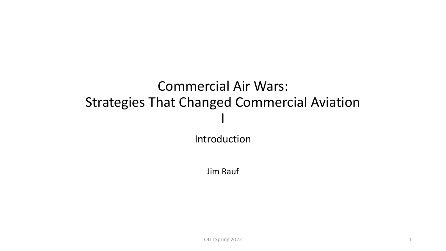# Commercial Air Wars: Strategies That Changed Commercial Aviation I

Introduction

Jim Rauf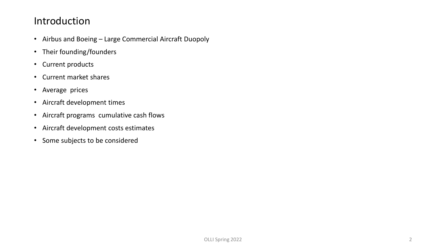#### Introduction

- Airbus and Boeing Large Commercial Aircraft Duopoly
- Their founding/founders
- Current products
- Current market shares
- Average prices
- Aircraft development times
- Aircraft programs cumulative cash flows
- Aircraft development costs estimates
- Some subjects to be considered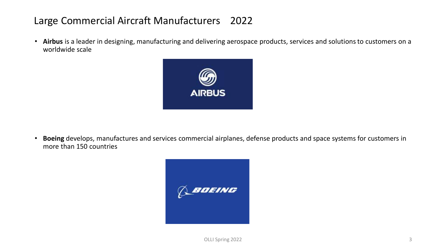#### Large Commercial Aircraft Manufacturers 2022

• **Airbus** is a leader in designing, manufacturing and delivering aerospace products, services and solutionsto customers on a worldwide scale



• **Boeing** develops, manufactures and services commercial airplanes, defense products and space systems for customers in more than 150 countries

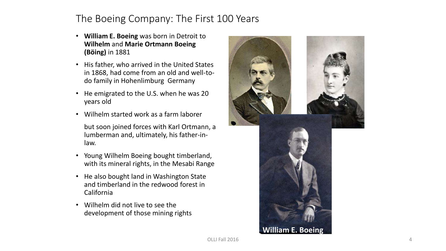#### The Boeing Company: The First 100 Years

- **William E. Boeing** was born in Detroit to **Wilhelm** and **Marie Ortmann Boeing (Böing)** in 1881
- His father, who arrived in the United States in 1868, had come from an old and well-todo family in Hohenlimburg Germany
- He emigrated to the U.S. when he was 20 years old
- Wilhelm started work as a farm laborer

but soon joined forces with Karl Ortmann, a lumberman and, ultimately, his father-inlaw.

- Young Wilhelm Boeing bought timberland, with its mineral rights, in the Mesabi Range
- He also bought land in Washington State and timberland in the redwood forest in California
- Wilhelm did not live to see the development of those mining rights

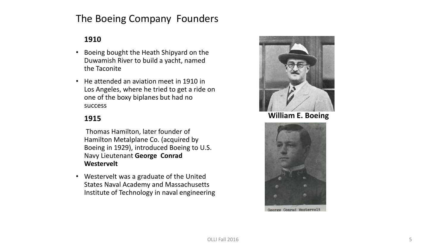### The Boeing Company Founders

#### **1910**

- Boeing bought the Heath Shipyard on the Duwamish River to build a yacht, named the Taconite
- He attended an aviation meet in 1910 in Los Angeles, where he tried to get a ride on one of the boxy biplanes but had no success

#### **1915**

Thomas Hamilton, later founder of Hamilton Metalplane Co. (acquired by Boeing in 1929), introduced Boeing to U.S. Navy Lieutenant **George Conrad Westervelt**

• Westervelt was a graduate of the United States Naval Academy and Massachusetts Institute of Technology in naval engineering



#### **William E. Boeing**

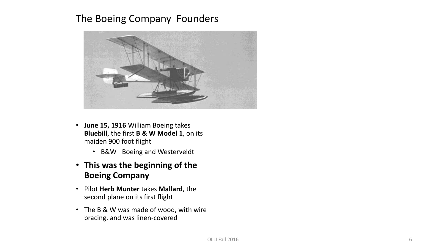#### The Boeing Company Founders



- **June 15, 1916** William Boeing takes **Bluebill**, the first **B & W Model 1**, on its maiden 900 foot flight
	- B&W –Boeing and Westerveldt
- **This was the beginning of the Boeing Company**
- Pilot **Herb Munter** takes **Mallard**, the second plane on its first flight
- The B & W was made of wood, with wire bracing, and was linen-covered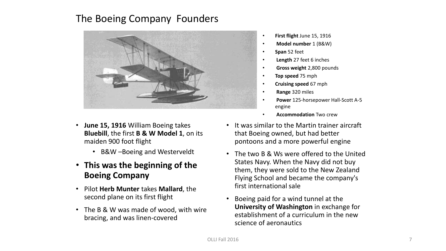#### The Boeing Company Founders



- **June 15, 1916** William Boeing takes **Bluebill**, the first **B & W Model 1**, on its maiden 900 foot flight
	- B&W –Boeing and Westerveldt
- **This was the beginning of the Boeing Company**
- Pilot **Herb Munter** takes **Mallard**, the second plane on its first flight
- The B & W was made of wood, with wire bracing, and was linen-covered
- **First flight** June 15, 1916
- **Model number** 1 (B&W)
- **Span** 52 feet
- **Length** 27 feet 6 inches
- **Gross weight** 2,800 pounds
- **Top speed** 75 mph
- **Cruising speed** 67 mph
- **Range** 320 miles
- **Power** 125-horsepower Hall-Scott A-5 engine
- **Accommodation** Two crew
- It was similar to the Martin trainer aircraft that Boeing owned, but had better pontoons and a more powerful engine
- The two B & Ws were offered to the United States Navy. When the Navy did not buy them, they were sold to the New Zealand Flying School and became the company's first international sale
- Boeing paid for a wind tunnel at the **University of Washington** in exchange for establishment of a curriculum in the new science of aeronautics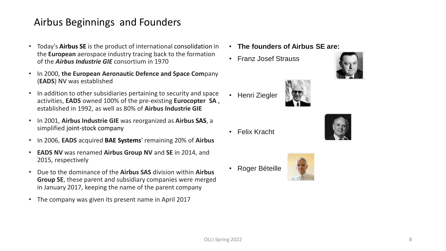#### Airbus Beginnings and Founders

- Today's **Airbus SE** is the product of international consolidation in the **European** aerospace industry tracing back to the formation of the *Airbus Industrie GIE* consortium in 1970
- In 2000, **the European Aeronautic Defence and Space Com**pany (**EADS**) NV was established
- In addition to other subsidiaries pertaining to security and space activities, **EADS** owned 100% of the pre-existing **Eurocopter SA** , established in 1992, as well as 80% of **Airbus Industrie GIE**
- In 2001, **Airbus Industrie GIE** was reorganized as **Airbus SAS**, a simplified joint-stock company
- In 2006, **EADS** acquired **BAE Systems**' remaining 20% of **Airbus**
- **EADS NV** was renamed **Airbus Group NV** and **SE** in 2014, and 2015, respectively
- Due to the dominance of the **Airbus SAS** division within **Airbus Group SE**, these parent and subsidiary companies were merged in January 2017, keeping the name of the parent company
- The company was given its present name in April 2017
- **The founders of Airbus SE are:**
- Franz Josef Strauss





• Felix Kracht

• Henri Ziegler



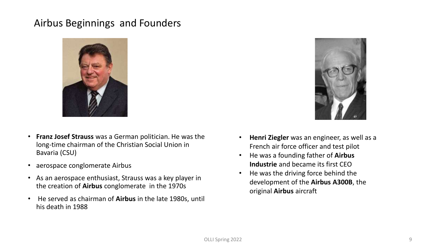#### Airbus Beginnings and Founders



- **Franz Josef Strauss** was a German politician. He was the long-time chairman of the Christian Social Union in Bavaria (CSU)
- aerospace conglomerate Airbus
- As an aerospace enthusiast, Strauss was a key player in the creation of **Airbus** conglomerate in the 1970s
- He served as chairman of **Airbus** in the late 1980s, until his death in 1988



- **Henri Ziegler** was an engineer, as well as a French air force officer and test pilot
- He was a founding father of **Airbus Industrie** and became its first CEO
- He was the driving force behind the development of the **Airbus A300B**, the original **Airbus** aircraft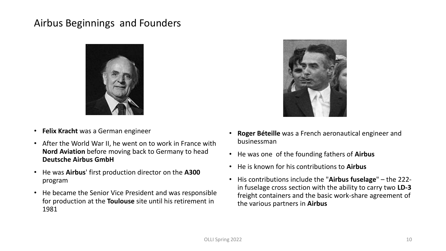#### Airbus Beginnings and Founders



- **Felix Kracht** was a German engineer
- After the World War II, he went on to work in France with **Nord Aviation** before moving back to Germany to head **Deutsche Airbus GmbH**
- He was **Airbus**' first production director on the **A300** program
- He became the Senior Vice President and was responsible for production at the **Toulouse** site until his retirement in 1981



- **Roger Béteille** was a French aeronautical engineer and businessman
- He was one of the founding fathers of **Airbus**
- He is known for his contributions to **Airbus**
- His contributions include the "**Airbus fuselage**" the 222 in fuselage cross section with the ability to carry two **LD-3** freight containers and the basic work-share agreement of the various partners in **Airbus**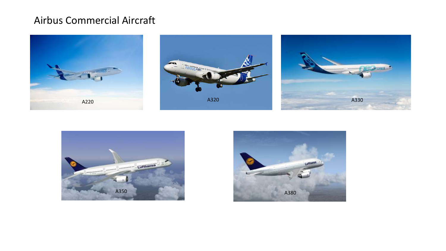#### Airbus Commercial Aircraft









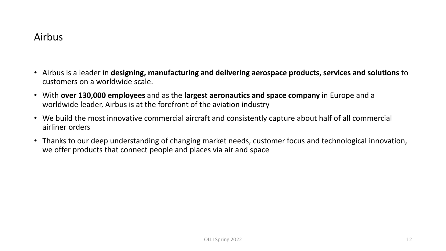#### Airbus

- Airbus is a leader in **designing, manufacturing and delivering aerospace products, services and solutions** to customers on a worldwide scale.
- With **over 130,000 employees** and as the **largest aeronautics and space company** in Europe and a worldwide leader, Airbus is at the forefront of the aviation industry
- We build the most innovative commercial aircraft and consistently capture about half of all commercial airliner orders
- Thanks to our deep understanding of changing market needs, customer focus and technological innovation, we offer products that connect people and places via air and space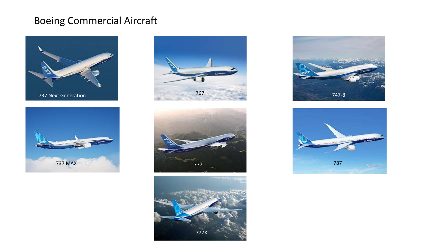## Boeing Commercial Aircraft













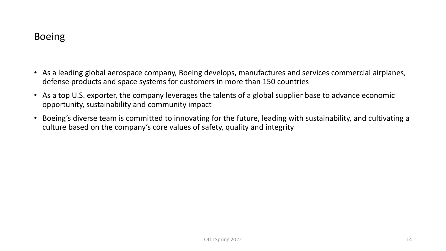#### Boeing

- As a leading global aerospace company, Boeing develops, manufactures and services commercial airplanes, defense products and space systems for customers in more than 150 countries
- As a top U.S. exporter, the company leverages the talents of a global supplier base to advance economic opportunity, sustainability and community impact
- Boeing's diverse team is committed to innovating for the future, leading with sustainability, and cultivating a culture based on the company's core values of safety, quality and integrity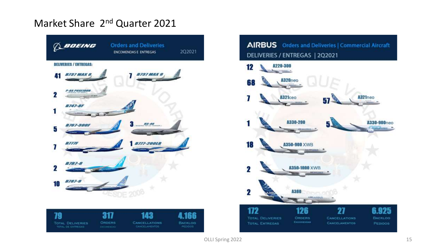### Market Share 2<sup>nd</sup> Quarter 2021



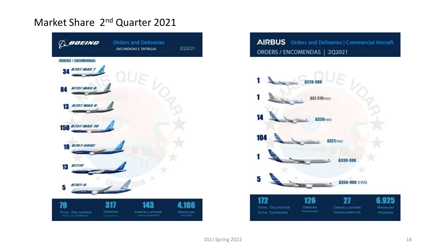### Market Share 2<sup>nd</sup> Quarter 2021



AIRBUS Orders and Deliveries | Commercial Aircraft ORDERS / ENCOMENDAS | 2Q2021

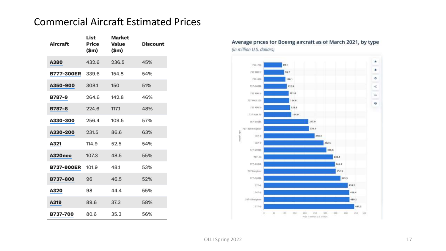#### Commercial Aircraft Estimated Prices

| Aircraft          | List<br>Price<br>(\$m) | <b>Market</b><br>Value<br>(\$m) | Discount |
|-------------------|------------------------|---------------------------------|----------|
| A380              | 432.6                  | 236.5                           | 45%      |
| B777-300ER        | 339.6                  | 154.8                           | 54%      |
| A350-900          | 308.1                  | 150                             | 51%      |
| B787-9            | 264.6                  | 142.8                           | 46%      |
| <b>B787-8</b>     | 224.6                  | 117.1                           | 48%      |
| A330-300          | 256.4                  | 109.5                           | 57%      |
| A330-200          | 231.5                  | 86.6                            | 63%      |
| A321              | 114.9                  | 52.5                            | 54%      |
| A320neo           | 107.3                  | 48.5                            | 55%      |
| <b>B737-900ER</b> | 101.9                  | 48.1                            | 53%      |
| B737-800          | 96                     | 46.5                            | 52%      |
| A320              | 98                     | 44.4                            | 55%      |
| A319              | 89.6                   | 37.3                            | 58%      |
| B737-700          | 80.6                   | 35.3                            | 56%      |



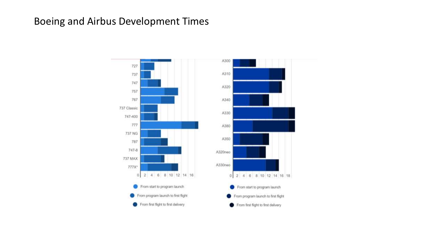#### Boeing and Airbus Development Times

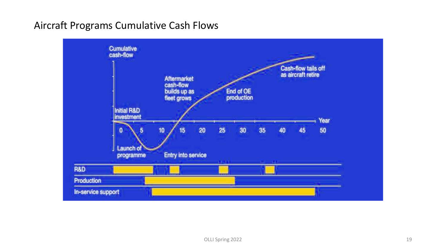#### Aircraft Programs Cumulative Cash Flows

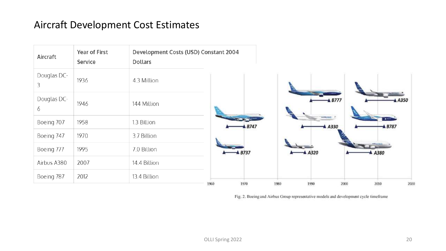#### Aircraft Development Cost Estimates



Fig. 2. Boeing and Airbus Group representative models and development cycle timeframe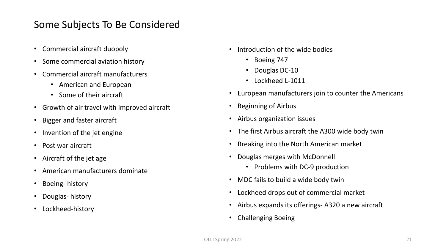#### Some Subjects To Be Considered

- Commercial aircraft duopoly
- Some commercial aviation history
- Commercial aircraft manufacturers
	- American and European
	- Some of their aircraft
- Growth of air travel with improved aircraft
- Bigger and faster aircraft
- Invention of the jet engine
- Post war aircraft
- Aircraft of the jet age
- American manufacturers dominate
- Boeing- history
- Douglas- history
- Lockheed-history
- Introduction of the wide bodies
	- Boeing 747
	- Douglas DC-10
	- Lockheed L-1011
- European manufacturers join to counter the Americans
- Beginning of Airbus
- Airbus organization issues
- The first Airbus aircraft the A300 wide body twin
- Breaking into the North American market
- Douglas merges with McDonnell
	- Problems with DC-9 production
- MDC fails to build a wide body twin
- Lockheed drops out of commercial market
- Airbus expands its offerings- A320 a new aircraft
- Challenging Boeing